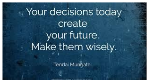# Your decisions today create your future. Make them wisely.

Tendai Mungate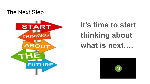The Next Step ….



## **It's time to start thinking about what is next….**

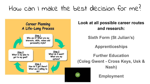### How can I make the best decision for me?



#### **Look at all possible career routes and research:**

**Sixth Form (St Julian's)**

**Apprenticeships**

**Further Education (Coleg Gwent - Cross Keys, Usk & Nash)**

**Employment**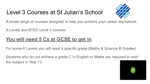#### Level 3 Courses at St Julian's School



A broad range of courses designed to help you achieve your career aspirations

A Levels and BTEC Level 3 courses

#### **You will need 5 Cs at GCSE to get in**

For some A' Levels you will need a specific grade (Maths & Science B Grades)

Students who do not achieve a grade C in English or Maths are required to resit the subject in Year 12.

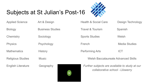#### Subjects at St Julian's Post-16



Applied Science Art & Design Biology Business Studies Chemistry Sociology Physics Psychology Mathematics History Religious Studies Music English Literature Geography Health & Social Care Design Technology Travel & Tourism Spanish Sports Studies Welsh French Media Studies Performing Arts **ICT** Welsh Baccalaureate Advanced Skills *Further subjects are available to study at our* 

M

*collaborative school - Lliswerry*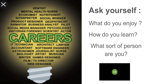

What do you enjoy?

How do you learn?

What sort of person are you?

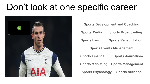## Don't look at one specific career



| <b>Sports Development and Coaching</b>              |                              |
|-----------------------------------------------------|------------------------------|
| <b>Sports Media</b>                                 | <b>Sports Broadcasting</b>   |
| <b>Sports Law</b>                                   | <b>Sports Rehabilitation</b> |
| <b>Sports Events Management</b>                     |                              |
| <b>Sports Finance</b>                               | <b>Sports Journalism</b>     |
| <b>Sports Marketing</b>                             | <b>Sports Management</b>     |
| <b>Sports Psychology</b><br><b>Sports Nutrition</b> |                              |